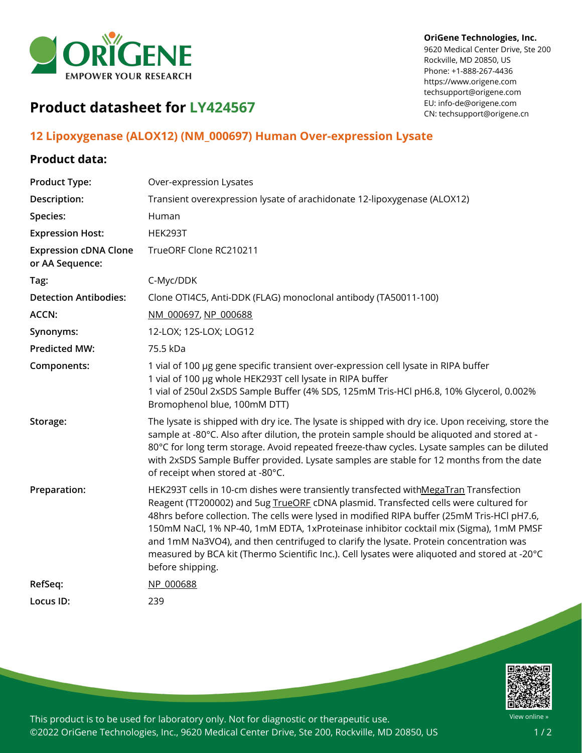

#### **OriGene Technologies, Inc.**

9620 Medical Center Drive, Ste 200 Rockville, MD 20850, US Phone: +1-888-267-4436 https://www.origene.com techsupport@origene.com EU: info-de@origene.com CN: techsupport@origene.cn

# **Product datasheet for LY424567**

# **12 Lipoxygenase (ALOX12) (NM\_000697) Human Over-expression Lysate**

## **Product data:**

| <b>Product Type:</b>                            | Over-expression Lysates                                                                                                                                                                                                                                                                                                                                                                                                                                                                                                                                                             |
|-------------------------------------------------|-------------------------------------------------------------------------------------------------------------------------------------------------------------------------------------------------------------------------------------------------------------------------------------------------------------------------------------------------------------------------------------------------------------------------------------------------------------------------------------------------------------------------------------------------------------------------------------|
| Description:                                    | Transient overexpression lysate of arachidonate 12-lipoxygenase (ALOX12)                                                                                                                                                                                                                                                                                                                                                                                                                                                                                                            |
| Species:                                        | Human                                                                                                                                                                                                                                                                                                                                                                                                                                                                                                                                                                               |
| <b>Expression Host:</b>                         | <b>HEK293T</b>                                                                                                                                                                                                                                                                                                                                                                                                                                                                                                                                                                      |
| <b>Expression cDNA Clone</b><br>or AA Sequence: | TrueORF Clone RC210211                                                                                                                                                                                                                                                                                                                                                                                                                                                                                                                                                              |
| Tag:                                            | C-Myc/DDK                                                                                                                                                                                                                                                                                                                                                                                                                                                                                                                                                                           |
| <b>Detection Antibodies:</b>                    | Clone OTI4C5, Anti-DDK (FLAG) monoclonal antibody (TA50011-100)                                                                                                                                                                                                                                                                                                                                                                                                                                                                                                                     |
| <b>ACCN:</b>                                    | NM 000697, NP 000688                                                                                                                                                                                                                                                                                                                                                                                                                                                                                                                                                                |
| Synonyms:                                       | 12-LOX; 12S-LOX; LOG12                                                                                                                                                                                                                                                                                                                                                                                                                                                                                                                                                              |
| <b>Predicted MW:</b>                            | 75.5 kDa                                                                                                                                                                                                                                                                                                                                                                                                                                                                                                                                                                            |
| Components:                                     | 1 vial of 100 µg gene specific transient over-expression cell lysate in RIPA buffer<br>1 vial of 100 µg whole HEK293T cell lysate in RIPA buffer<br>1 vial of 250ul 2xSDS Sample Buffer (4% SDS, 125mM Tris-HCl pH6.8, 10% Glycerol, 0.002%<br>Bromophenol blue, 100mM DTT)                                                                                                                                                                                                                                                                                                         |
| Storage:                                        | The lysate is shipped with dry ice. The lysate is shipped with dry ice. Upon receiving, store the<br>sample at -80°C. Also after dilution, the protein sample should be aliquoted and stored at -<br>80°C for long term storage. Avoid repeated freeze-thaw cycles. Lysate samples can be diluted<br>with 2xSDS Sample Buffer provided. Lysate samples are stable for 12 months from the date<br>of receipt when stored at -80°C.                                                                                                                                                   |
| Preparation:                                    | HEK293T cells in 10-cm dishes were transiently transfected withMegaTran Transfection<br>Reagent (TT200002) and 5ug TrueORF cDNA plasmid. Transfected cells were cultured for<br>48hrs before collection. The cells were lysed in modified RIPA buffer (25mM Tris-HCl pH7.6,<br>150mM NaCl, 1% NP-40, 1mM EDTA, 1xProteinase inhibitor cocktail mix (Sigma), 1mM PMSF<br>and 1mM Na3VO4), and then centrifuged to clarify the lysate. Protein concentration was<br>measured by BCA kit (Thermo Scientific Inc.). Cell lysates were aliquoted and stored at -20°C<br>before shipping. |
| RefSeq:                                         | NP 000688                                                                                                                                                                                                                                                                                                                                                                                                                                                                                                                                                                           |
| Locus ID:                                       | 239                                                                                                                                                                                                                                                                                                                                                                                                                                                                                                                                                                                 |



This product is to be used for laboratory only. Not for diagnostic or therapeutic use. ©2022 OriGene Technologies, Inc., 9620 Medical Center Drive, Ste 200, Rockville, MD 20850, US